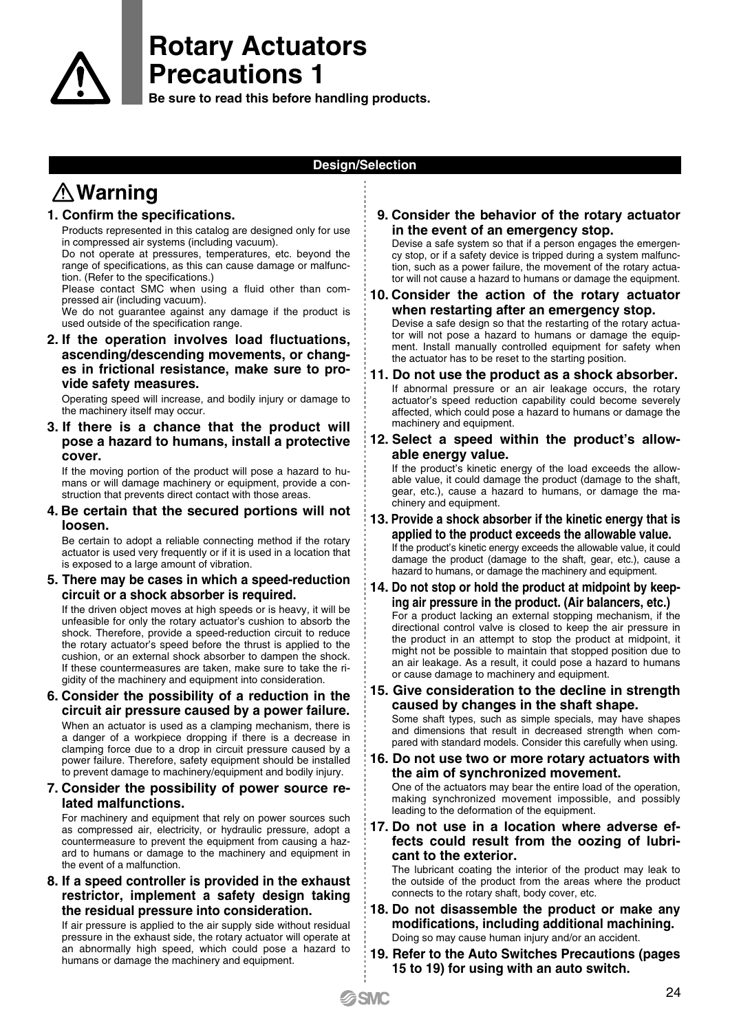

**Be sure to read this before handling products.**

### **Design/Selection**

# **Warning**

#### **1. Confirm the specifications.**

Products represented in this catalog are designed only for use in compressed air systems (including vacuum).

Do not operate at pressures, temperatures, etc. beyond the range of specifications, as this can cause damage or malfunction. (Refer to the specifications.)

Please contact SMC when using a fluid other than compressed air (including vacuum).

We do not guarantee against any damage if the product is used outside of the specification range.

**2. If the operation involves load fluctuations, ascending/descending movements, or changes in frictional resistance, make sure to provide safety measures.**

Operating speed will increase, and bodily injury or damage to the machinery itself may occur.

**3. If there is a chance that the product will pose a hazard to humans, install a protective cover.**

If the moving portion of the product will pose a hazard to humans or will damage machinery or equipment, provide a construction that prevents direct contact with those areas.

**4. Be certain that the secured portions will not loosen.**

Be certain to adopt a reliable connecting method if the rotary actuator is used very frequently or if it is used in a location that is exposed to a large amount of vibration.

**5. There may be cases in which a speed-reduction circuit or a shock absorber is required.**

If the driven object moves at high speeds or is heavy, it will be unfeasible for only the rotary actuator's cushion to absorb the shock. Therefore, provide a speed-reduction circuit to reduce the rotary actuator's speed before the thrust is applied to the cushion, or an external shock absorber to dampen the shock. If these countermeasures are taken, make sure to take the rigidity of the machinery and equipment into consideration.

**6. Consider the possibility of a reduction in the circuit air pressure caused by a power failure.**

When an actuator is used as a clamping mechanism, there is a danger of a workpiece dropping if there is a decrease in clamping force due to a drop in circuit pressure caused by a power failure. Therefore, safety equipment should be installed to prevent damage to machinery/equipment and bodily injury.

#### **7. Consider the possibility of power source related malfunctions.**

For machinery and equipment that rely on power sources such as compressed air, electricity, or hydraulic pressure, adopt a countermeasure to prevent the equipment from causing a hazard to humans or damage to the machinery and equipment in the event of a malfunction.

**8. If a speed controller is provided in the exhaust restrictor, implement a safety design taking the residual pressure into consideration.**

If air pressure is applied to the air supply side without residual pressure in the exhaust side, the rotary actuator will operate at an abnormally high speed, which could pose a hazard to humans or damage the machinery and equipment.

#### **9. Consider the behavior of the rotary actuator in the event of an emergency stop.**

Devise a safe system so that if a person engages the emergency stop, or if a safety device is tripped during a system malfunction, such as a power failure, the movement of the rotary actuator will not cause a hazard to humans or damage the equipment.

- **10. Consider the action of the rotary actuator when restarting after an emergency stop.** Devise a safe design so that the restarting of the rotary actuator will not pose a hazard to humans or damage the equipment. Install manually controlled equipment for safety when the actuator has to be reset to the starting position.
- **11. Do not use the product as a shock absorber.** If abnormal pressure or an air leakage occurs, the rotary actuator's speed reduction capability could become severely affected, which could pose a hazard to humans or damage the machinery and equipment.
- **12. Select a speed within the product's allowable energy value.**

If the product's kinetic energy of the load exceeds the allowable value, it could damage the product (damage to the shaft, gear, etc.), cause a hazard to humans, or damage the machinery and equipment.

- **13. Provide a shock absorber if the kinetic energy that is applied to the product exceeds the allowable value.** If the product's kinetic energy exceeds the allowable value, it could damage the product (damage to the shaft, gear, etc.), cause a hazard to humans, or damage the machinery and equipment.
- **14. Do not stop or hold the product at midpoint by keeping air pressure in the product. (Air balancers, etc.)** For a product lacking an external stopping mechanism, if the directional control valve is closed to keep the air pressure in the product in an attempt to stop the product at midpoint, it might not be possible to maintain that stopped position due to an air leakage. As a result, it could pose a hazard to humans or cause damage to machinery and equipment.
- **15. Give consideration to the decline in strength caused by changes in the shaft shape.** Some shaft types, such as simple specials, may have shapes and dimensions that result in decreased strength when compared with standard models. Consider this carefully when using.
- **16. Do not use two or more rotary actuators with the aim of synchronized movement.** One of the actuators may bear the entire load of the operation, making synchronized movement impossible, and possibly leading to the deformation of the equipment.
- **17. Do not use in a location where adverse effects could result from the oozing of lubricant to the exterior.**

The lubricant coating the interior of the product may leak to the outside of the product from the areas where the product connects to the rotary shaft, body cover, etc.

- **18. Do not disassemble the product or make any modifications, including additional machining.** Doing so may cause human injury and/or an accident.
- **19. Refer to the Auto Switches Precautions (pages 15 to 19) for using with an auto switch.**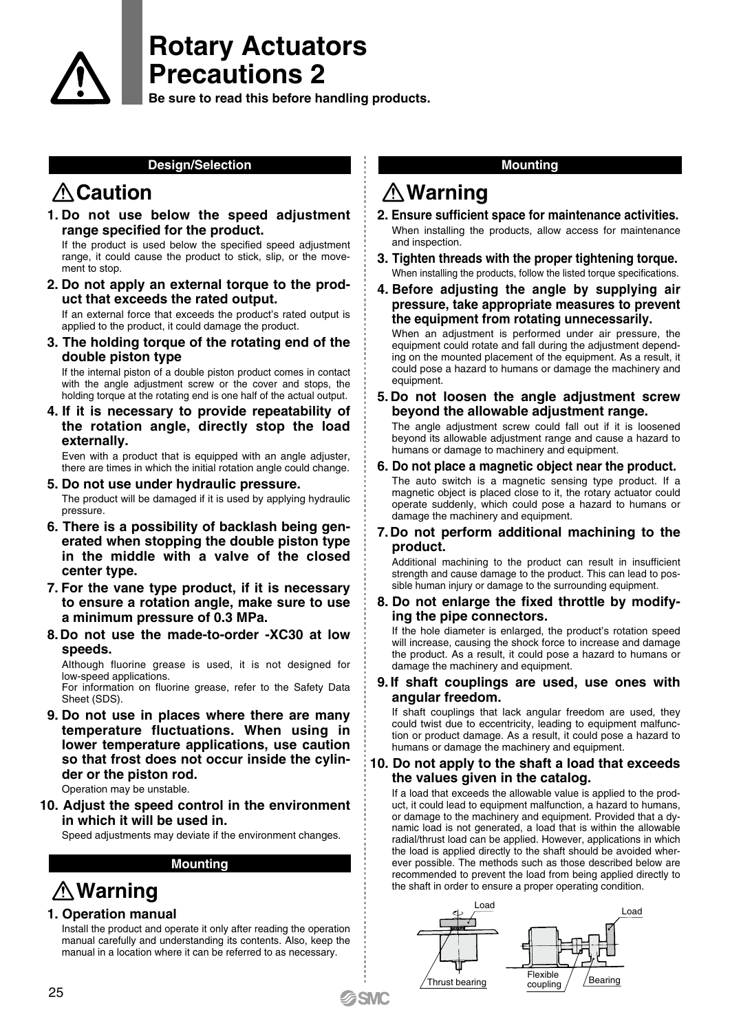

**Be sure to read this before handling products.**

#### **Design/Selection**

## **Caution**

**1. Do not use below the speed adjustment range specified for the product.**

If the product is used below the specified speed adjustment range, it could cause the product to stick, slip, or the movement to stop.

**2. Do not apply an external torque to the product that exceeds the rated output.**

If an external force that exceeds the product's rated output is applied to the product, it could damage the product.

**3. The holding torque of the rotating end of the double piston type**

If the internal piston of a double piston product comes in contact with the angle adjustment screw or the cover and stops, the holding torque at the rotating end is one half of the actual output.

**4. If it is necessary to provide repeatability of the rotation angle, directly stop the load externally.**

Even with a product that is equipped with an angle adjuster, there are times in which the initial rotation angle could change.

- **5. Do not use under hydraulic pressure.** The product will be damaged if it is used by applying hydraulic pressure.
- **6. There is a possibility of backlash being generated when stopping the double piston type in the middle with a valve of the closed center type.**
- **7. For the vane type product, if it is necessary to ensure a rotation angle, make sure to use a minimum pressure of 0.3 MPa.**
- **8. Do not use the made-to-order -XC30 at low speeds.**

Although fluorine grease is used, it is not designed for low-speed applications.

For information on fluorine grease, refer to the Safety Data Sheet (SDS).

**9. Do not use in places where there are many temperature fluctuations. When using in lower temperature applications, use caution so that frost does not occur inside the cylinder or the piston rod.**

Operation may be unstable.

**10. Adjust the speed control in the environment in which it will be used in.**

Speed adjustments may deviate if the environment changes.

#### **Mounting**

# **Warning**

### **1. Operation manual**

Install the product and operate it only after reading the operation manual carefully and understanding its contents. Also, keep the manual in a location where it can be referred to as necessary.

### **Mounting**

## **Warning**

- **2. Ensure sufficient space for maintenance activities.** When installing the products, allow access for maintenance and inspection.
- **3. Tighten threads with the proper tightening torque.** When installing the products, follow the listed torque specifications.
- **4. Before adjusting the angle by supplying air pressure, take appropriate measures to prevent the equipment from rotating unnecessarily.**

When an adjustment is performed under air pressure, the equipment could rotate and fall during the adjustment depending on the mounted placement of the equipment. As a result, it could pose a hazard to humans or damage the machinery and equipment.

**5. Do not loosen the angle adjustment screw beyond the allowable adjustment range.**

The angle adjustment screw could fall out if it is loosened beyond its allowable adjustment range and cause a hazard to humans or damage to machinery and equipment.

- **6. Do not place a magnetic object near the product.** The auto switch is a magnetic sensing type product. If a magnetic object is placed close to it, the rotary actuator could operate suddenly, which could pose a hazard to humans or damage the machinery and equipment.
- **7. Do not perform additional machining to the product.**

Additional machining to the product can result in insufficient strength and cause damage to the product. This can lead to possible human injury or damage to the surrounding equipment.

#### **8. Do not enlarge the fixed throttle by modifying the pipe connectors.**

If the hole diameter is enlarged, the product's rotation speed will increase, causing the shock force to increase and damage the product. As a result, it could pose a hazard to humans or damage the machinery and equipment.

#### **9. If shaft couplings are used, use ones with angular freedom.**

If shaft couplings that lack angular freedom are used, they could twist due to eccentricity, leading to equipment malfunction or product damage. As a result, it could pose a hazard to humans or damage the machinery and equipment.

#### **10. Do not apply to the shaft a load that exceeds the values given in the catalog.**

If a load that exceeds the allowable value is applied to the product, it could lead to equipment malfunction, a hazard to humans, or damage to the machinery and equipment. Provided that a dynamic load is not generated, a load that is within the allowable radial/thrust load can be applied. However, applications in which the load is applied directly to the shaft should be avoided wherever possible. The methods such as those described below are recommended to prevent the load from being applied directly to the shaft in order to ensure a proper operating condition.



**SMC**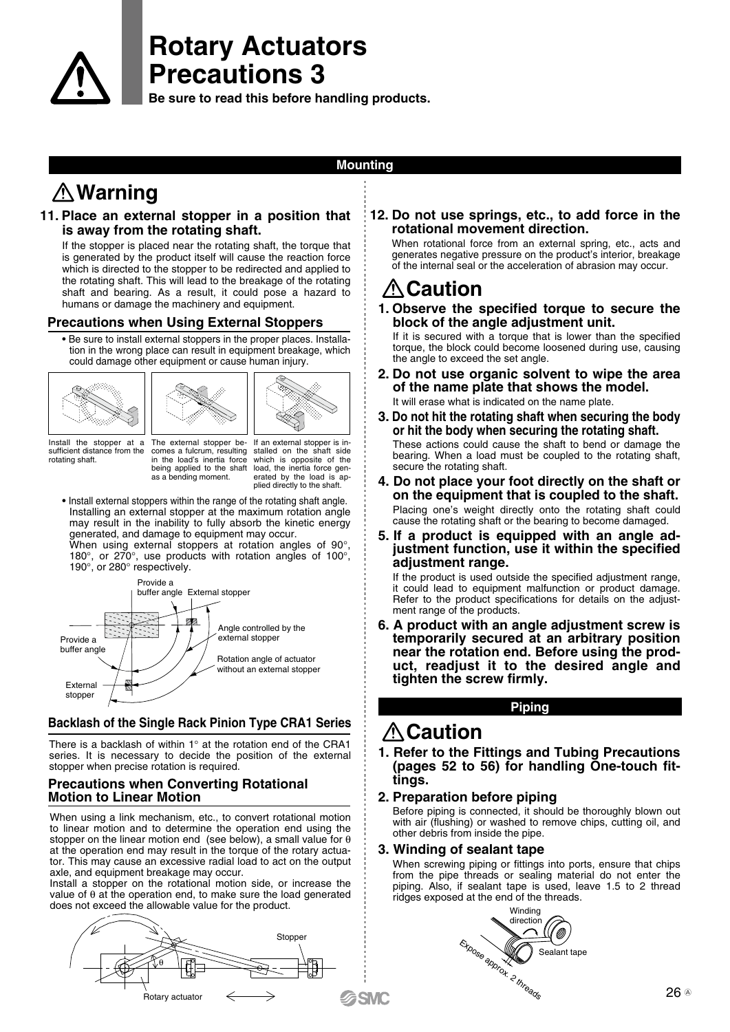

**Be sure to read this before handling products.**

### **Mounting**

# **Warning**

#### **11. Place an external stopper in a position that is away from the rotating shaft.**

If the stopper is placed near the rotating shaft, the torque that is generated by the product itself will cause the reaction force which is directed to the stopper to be redirected and applied to the rotating shaft. This will lead to the breakage of the rotating shaft and bearing. As a result, it could pose a hazard to humans or damage the machinery and equipment.

### **Precautions when Using External Stoppers**

• Be sure to install external stoppers in the proper places. Installation in the wrong place can result in equipment breakage, which could damage other equipment or cause human injury.







Install the stopper at a sufficient distance from the rotating shaft.

The external stopper be-comes a fulcrum, resulting in the load's inertia force being applied to the shaft as a bending moment. If an external stopper is in-stalled on the shaft side which is opposite of the load, the inertia force generated by the load is ap-plied directly to the shaft.

• Install external stoppers within the range of the rotating shaft angle. Installing an external stopper at the maximum rotation angle may result in the inability to fully absorb the kinetic energy generated, and damage to equipment may occur.

When using external stoppers at rotation angles of 90°, 180°, or 270°, use products with rotation angles of 100°, 190°, or 280° respectively.



### **Backlash of the Single Rack Pinion Type CRA1 Series**

There is a backlash of within 1° at the rotation end of the CRA1 series. It is necessary to decide the position of the external stopper when precise rotation is required.

### **Precautions when Converting Rotational Motion to Linear Motion**

When using a link mechanism, etc., to convert rotational motion to linear motion and to determine the operation end using the stopper on the linear motion end (see below), a small value for θ at the operation end may result in the torque of the rotary actuator. This may cause an excessive radial load to act on the output axle, and equipment breakage may occur.

Install a stopper on the rotational motion side, or increase the value of θ at the operation end, to make sure the load generated does not exceed the allowable value for the product.



#### **12. Do not use springs, etc., to add force in the rotational movement direction.**

When rotational force from an external spring, etc., acts and generates negative pressure on the product's interior, breakage of the internal seal or the acceleration of abrasion may occur.

# **Caution**

**1. Observe the specified torque to secure the block of the angle adjustment unit.**

If it is secured with a torque that is lower than the specified torque, the block could become loosened during use, causing the angle to exceed the set angle.

- **2. Do not use organic solvent to wipe the area of the name plate that shows the model.** It will erase what is indicated on the name plate.
- **3. Do not hit the rotating shaft when securing the body or hit the body when securing the rotating shaft.** These actions could cause the shaft to bend or damage the bearing. When a load must be coupled to the rotating shaft,
- secure the rotating shaft. **4. Do not place your foot directly on the shaft or on the equipment that is coupled to the shaft.** Placing one's weight directly onto the rotating shaft could cause the rotating shaft or the bearing to become damaged.
- **5. If a product is equipped with an angle adjustment function, use it within the specified adjustment range.**

If the product is used outside the specified adjustment range, it could lead to equipment malfunction or product damage. Refer to the product specifications for details on the adjustment range of the products.

**6. A product with an angle adjustment screw is temporarily secured at an arbitrary position near the rotation end. Before using the product, readjust it to the desired angle and tighten the screw firmly.**

**Piping**

### **ACaution**

**1. Refer to the Fittings and Tubing Precautions (pages 52 to 56) for handling One-touch fittings.**

### **2. Preparation before piping**

Before piping is connected, it should be thoroughly blown out with air (flushing) or washed to remove chips, cutting oil, and other debris from inside the pipe.

#### **3. Winding of sealant tape**

When screwing piping or fittings into ports, ensure that chips from the pipe threads or sealing material do not enter the piping. Also, if sealant tape is used, leave 1.5 to 2 thread ridges exposed at the end of the threads.

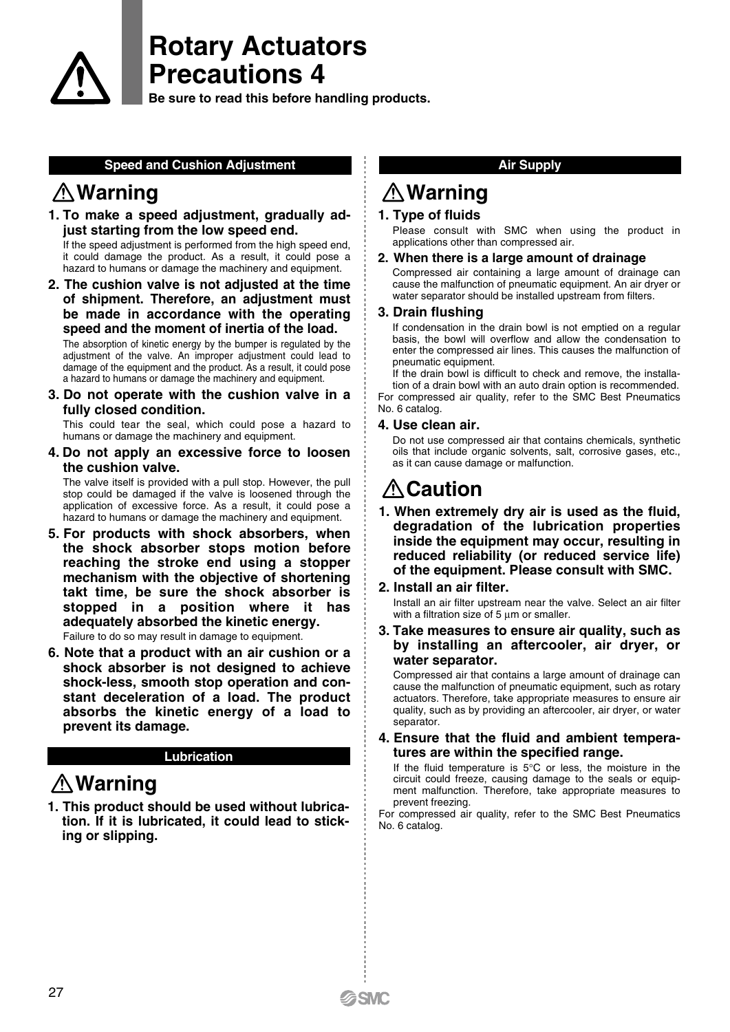

**Be sure to read this before handling products.**

#### **Speed and Cushion Adjustment**

## **Warning**

**1. To make a speed adjustment, gradually adjust starting from the low speed end.**

If the speed adjustment is performed from the high speed end, it could damage the product. As a result, it could pose a hazard to humans or damage the machinery and equipment.

**2. The cushion valve is not adjusted at the time of shipment. Therefore, an adjustment must be made in accordance with the operating speed and the moment of inertia of the load.**

The absorption of kinetic energy by the bumper is regulated by the adjustment of the valve. An improper adjustment could lead to damage of the equipment and the product. As a result, it could pose a hazard to humans or damage the machinery and equipment.

**3. Do not operate with the cushion valve in a fully closed condition.**

This could tear the seal, which could pose a hazard to humans or damage the machinery and equipment.

**4. Do not apply an excessive force to loosen the cushion valve.**

The valve itself is provided with a pull stop. However, the pull stop could be damaged if the valve is loosened through the application of excessive force. As a result, it could pose a hazard to humans or damage the machinery and equipment.

**5. For products with shock absorbers, when the shock absorber stops motion before reaching the stroke end using a stopper mechanism with the objective of shortening takt time, be sure the shock absorber is stopped in a position where it has adequately absorbed the kinetic energy.** Failure to do so may result in damage to equipment.

**6. Note that a product with an air cushion or a shock absorber is not designed to achieve shock-less, smooth stop operation and constant deceleration of a load. The product absorbs the kinetic energy of a load to prevent its damage.**

#### **Lubrication**

# **Warning**

**1. This product should be used without lubrication. If it is lubricated, it could lead to sticking or slipping.**

### **Air Supply**

# **Warning**

### **1. Type of fluids**

Please consult with SMC when using the product in applications other than compressed air.

#### **2. When there is a large amount of drainage**

Compressed air containing a large amount of drainage can cause the malfunction of pneumatic equipment. An air dryer or water separator should be installed upstream from filters.

#### **3. Drain flushing**

If condensation in the drain bowl is not emptied on a regular basis, the bowl will overflow and allow the condensation to enter the compressed air lines. This causes the malfunction of pneumatic equipment.

If the drain bowl is difficult to check and remove, the installation of a drain bowl with an auto drain option is recommended. For compressed air quality, refer to the SMC Best Pneumatics No. 6 catalog.

#### **4. Use clean air.**

Do not use compressed air that contains chemicals, synthetic oils that include organic solvents, salt, corrosive gases, etc., as it can cause damage or malfunction.

## **ALCaution**

- **1. When extremely dry air is used as the fluid, degradation of the lubrication properties inside the equipment may occur, resulting in reduced reliability (or reduced service life) of the equipment. Please consult with SMC.**
- **2. Install an air filter.**

Install an air filter upstream near the valve. Select an air filter with a filtration size of  $5 \mu m$  or smaller.

**3. Take measures to ensure air quality, such as by installing an aftercooler, air dryer, or water separator.**

Compressed air that contains a large amount of drainage can cause the malfunction of pneumatic equipment, such as rotary actuators. Therefore, take appropriate measures to ensure air quality, such as by providing an aftercooler, air dryer, or water separator.

#### **4. Ensure that the fluid and ambient temperatures are within the specified range.**

If the fluid temperature is  $5^{\circ}$ C or less, the moisture in the circuit could freeze, causing damage to the seals or equipment malfunction. Therefore, take appropriate measures to prevent freezing.

For compressed air quality, refer to the SMC Best Pneumatics No. 6 catalog.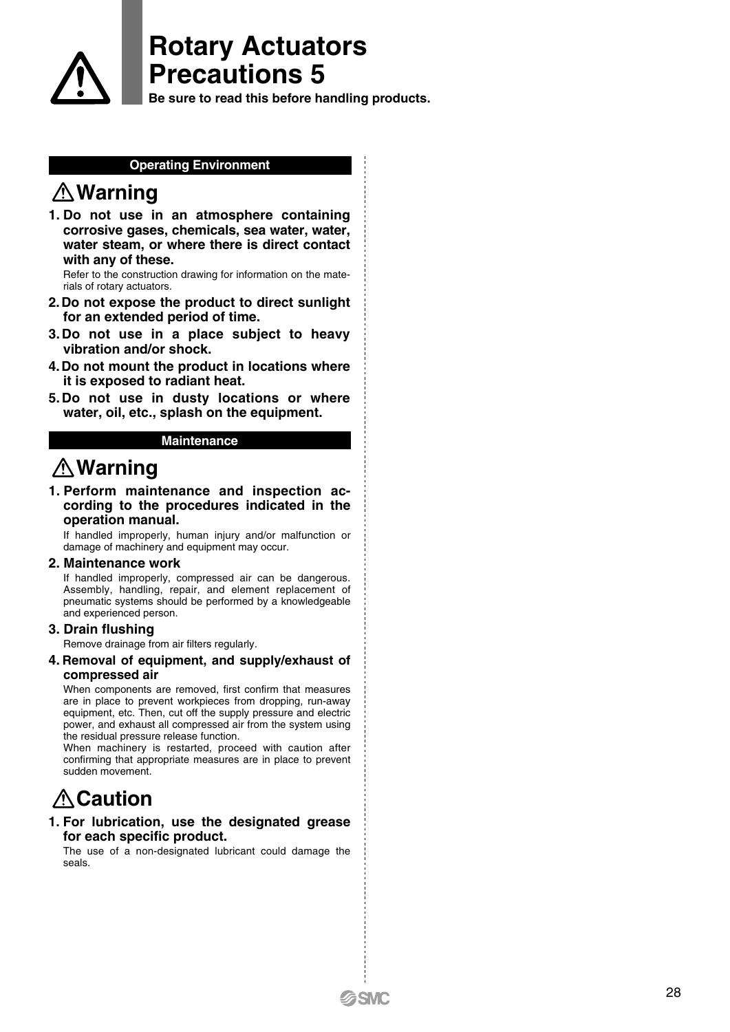

**Be sure to read this before handling products.**

### **Operating Environment**

## **Warning**

**1. Do not use in an atmosphere containing corrosive gases, chemicals, sea water, water, water steam, or where there is direct contact with any of these.**

Refer to the construction drawing for information on the materials of rotary actuators.

- **2.Do not expose the product to direct sunlight for an extended period of time.**
- **3. Do not use in a place subject to heavy vibration and/or shock.**
- **4.Do not mount the product in locations where it is exposed to radiant heat.**
- **5. Do not use in dusty locations or where water, oil, etc., splash on the equipment.**

#### **Maintenance**

## **Warning**

**1. Perform maintenance and inspection according to the procedures indicated in the operation manual.**

If handled improperly, human injury and/or malfunction or damage of machinery and equipment may occur.

#### **2. Maintenance work**

If handled improperly, compressed air can be dangerous. Assembly, handling, repair, and element replacement of pneumatic systems should be performed by a knowledgeable and experienced person.

#### **3. Drain flushing**

Remove drainage from air filters regularly.

#### **4. Removal of equipment, and supply/exhaust of compressed air**

When components are removed, first confirm that measures are in place to prevent workpieces from dropping, run-away equipment, etc. Then, cut off the supply pressure and electric power, and exhaust all compressed air from the system using the residual pressure release function.

When machinery is restarted, proceed with caution after confirming that appropriate measures are in place to prevent sudden movement.

## **Caution**

#### **1. For lubrication, use the designated grease for each specific product.**

The use of a non-designated lubricant could damage the seals.